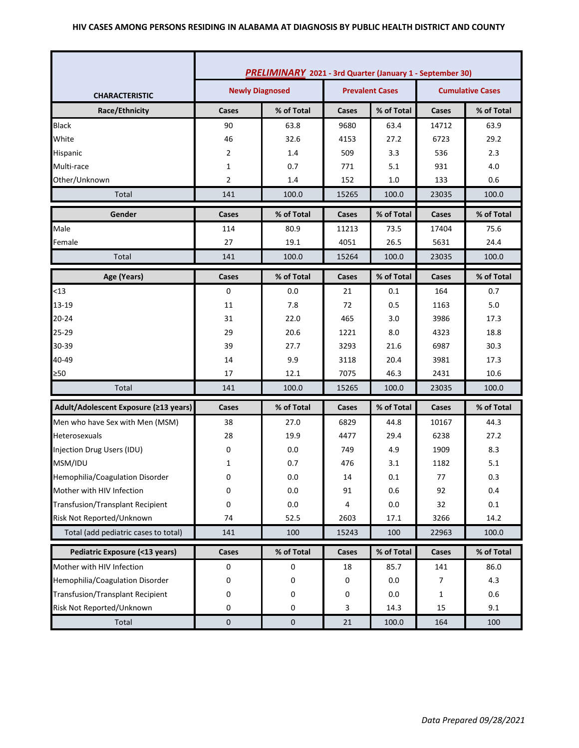|                                         | PRELIMINARY 2021 - 3rd Quarter (January 1 - September 30) |                                                  |       |            |                         |            |  |
|-----------------------------------------|-----------------------------------------------------------|--------------------------------------------------|-------|------------|-------------------------|------------|--|
| <b>CHARACTERISTIC</b>                   |                                                           | <b>Newly Diagnosed</b><br><b>Prevalent Cases</b> |       |            | <b>Cumulative Cases</b> |            |  |
| Race/Ethnicity                          | Cases                                                     | % of Total                                       | Cases | % of Total | Cases                   | % of Total |  |
| <b>Black</b>                            | 90                                                        | 63.8                                             | 9680  | 63.4       | 14712                   | 63.9       |  |
| White                                   | 46                                                        | 32.6                                             | 4153  | 27.2       | 6723                    | 29.2       |  |
| Hispanic                                | $\overline{2}$                                            | 1.4                                              | 509   | 3.3        | 536                     | 2.3        |  |
| Multi-race                              | $\mathbf{1}$                                              | 0.7                                              | 771   | 5.1        | 931                     | 4.0        |  |
| Other/Unknown                           | $\overline{2}$                                            | 1.4                                              | 152   | $1.0$      | 133                     | 0.6        |  |
| Total                                   | 141                                                       | 100.0                                            | 15265 | 100.0      | 23035                   | 100.0      |  |
| Gender                                  | Cases                                                     | % of Total                                       | Cases | % of Total | Cases                   | % of Total |  |
| Male                                    | 114                                                       | 80.9                                             | 11213 | 73.5       | 17404                   | 75.6       |  |
| Female                                  | 27                                                        | 19.1                                             | 4051  | 26.5       | 5631                    | 24.4       |  |
| Total                                   | 141                                                       | 100.0                                            | 15264 | 100.0      | 23035                   | 100.0      |  |
| Age (Years)                             | Cases                                                     | % of Total                                       | Cases | % of Total | Cases                   | % of Total |  |
| $13$                                    | 0                                                         | 0.0                                              | 21    | 0.1        | 164                     | 0.7        |  |
| 13-19                                   | 11                                                        | 7.8                                              | 72    | 0.5        | 1163                    | 5.0        |  |
| $20 - 24$                               | 31                                                        | 22.0                                             | 465   | 3.0        | 3986                    | 17.3       |  |
| 25-29                                   | 29                                                        | 20.6                                             | 1221  | 8.0        | 4323                    | 18.8       |  |
| 30-39                                   | 39                                                        | 27.7                                             | 3293  | 21.6       | 6987                    | 30.3       |  |
| 40-49                                   | 14                                                        | 9.9                                              | 3118  | 20.4       | 3981                    | 17.3       |  |
| $\geq 50$                               | 17                                                        | 12.1                                             | 7075  | 46.3       | 2431                    | 10.6       |  |
| Total                                   | 141                                                       | 100.0                                            | 15265 | 100.0      | 23035                   | 100.0      |  |
| Adult/Adolescent Exposure (≥13 years)   | Cases                                                     | % of Total                                       | Cases | % of Total | Cases                   | % of Total |  |
| Men who have Sex with Men (MSM)         | 38                                                        | 27.0                                             | 6829  | 44.8       | 10167                   | 44.3       |  |
| <b>Heterosexuals</b>                    | 28                                                        | 19.9                                             | 4477  | 29.4       | 6238                    | 27.2       |  |
| Injection Drug Users (IDU)              | 0                                                         | 0.0                                              | 749   | 4.9        | 1909                    | 8.3        |  |
| MSM/IDU                                 | 1                                                         | 0.7                                              | 476   | 3.1        | 1182                    | 5.1        |  |
| Hemophilia/Coagulation Disorder         | U                                                         | 0.0                                              | 14    | $0.1\,$    | 77                      | 0.3        |  |
| Mother with HIV Infection               | 0                                                         | 0.0                                              | 91    | 0.6        | 92                      | 0.4        |  |
| <b>Transfusion/Transplant Recipient</b> | 0                                                         | 0.0                                              | 4     | 0.0        | 32                      | 0.1        |  |
| Risk Not Reported/Unknown               | 74                                                        | 52.5                                             | 2603  | 17.1       | 3266                    | 14.2       |  |
| Total (add pediatric cases to total)    | 141                                                       | 100                                              | 15243 | 100        | 22963                   | 100.0      |  |
| Pediatric Exposure (<13 years)          | Cases                                                     | % of Total                                       | Cases | % of Total | Cases                   | % of Total |  |
| Mother with HIV Infection               | 0                                                         | 0                                                | 18    | 85.7       | 141                     | 86.0       |  |
| Hemophilia/Coagulation Disorder         | 0                                                         | 0                                                | 0     | 0.0        | 7                       | 4.3        |  |
| <b>Transfusion/Transplant Recipient</b> | 0                                                         | 0                                                | 0     | 0.0        | 1                       | 0.6        |  |
| Risk Not Reported/Unknown               | 0                                                         | 0                                                | 3     | 14.3       | 15                      | 9.1        |  |
| Total                                   | $\pmb{0}$                                                 | $\pmb{0}$                                        | 21    | 100.0      | 164                     | 100        |  |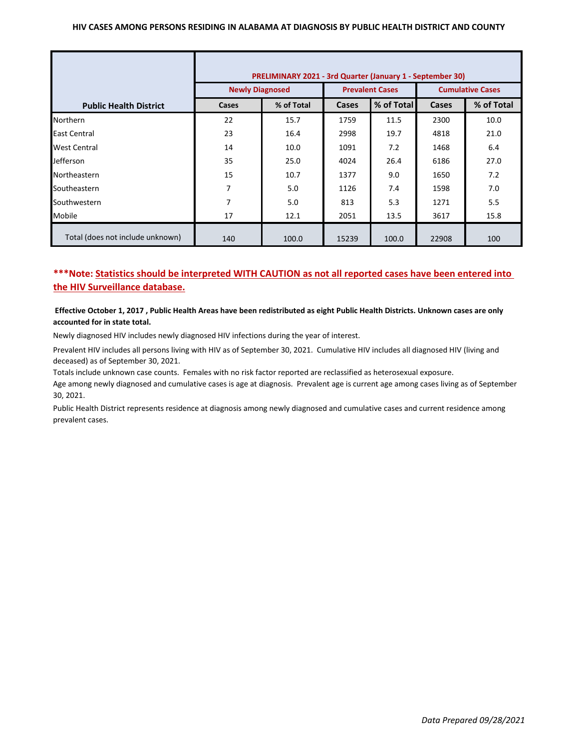### **HIV CASES AMONG PERSONS RESIDING IN ALABAMA AT DIAGNOSIS BY PUBLIC HEALTH DISTRICT AND COUNTY**

|                                  | PRELIMINARY 2021 - 3rd Quarter (January 1 - September 30) |            |                        |            |                         |            |  |
|----------------------------------|-----------------------------------------------------------|------------|------------------------|------------|-------------------------|------------|--|
|                                  | <b>Newly Diagnosed</b>                                    |            | <b>Prevalent Cases</b> |            | <b>Cumulative Cases</b> |            |  |
| <b>Public Health District</b>    | Cases                                                     | % of Total | <b>Cases</b>           | % of Total | Cases                   | % of Total |  |
| <b>Northern</b>                  | 22                                                        | 15.7       | 1759                   | 11.5       | 2300                    | 10.0       |  |
| East Central                     | 23                                                        | 16.4       | 2998                   | 19.7       | 4818                    | 21.0       |  |
| <b>West Central</b>              | 14                                                        | 10.0       | 1091                   | 7.2        | 1468                    | 6.4        |  |
| <b>Jefferson</b>                 | 35                                                        | 25.0       | 4024                   | 26.4       | 6186                    | 27.0       |  |
| Northeastern                     | 15                                                        | 10.7       | 1377                   | 9.0        | 1650                    | 7.2        |  |
| Southeastern                     | 7                                                         | 5.0        | 1126                   | 7.4        | 1598                    | 7.0        |  |
| Southwestern                     | 7                                                         | 5.0        | 813                    | 5.3        | 1271                    | 5.5        |  |
| Mobile                           | 17                                                        | 12.1       | 2051                   | 13.5       | 3617                    | 15.8       |  |
| Total (does not include unknown) | 140                                                       | 100.0      | 15239                  | 100.0      | 22908                   | 100        |  |

# **\*\*\*Note: Statistics should be interpreted WITH CAUTION as not all reported cases have been entered into the HIV Surveillance database.**

### **Effective October 1, 2017 , Public Health Areas have been redistributed as eight Public Health Districts. Unknown cases are only accounted for in state total.**

Newly diagnosed HIV includes newly diagnosed HIV infections during the year of interest.

Prevalent HIV includes all persons living with HIV as of September 30, 2021. Cumulative HIV includes all diagnosed HIV (living and deceased) as of September 30, 2021.

Totals include unknown case counts. Females with no risk factor reported are reclassified as heterosexual exposure.

Age among newly diagnosed and cumulative cases is age at diagnosis. Prevalent age is current age among cases living as of September 30, 2021.

Public Health District represents residence at diagnosis among newly diagnosed and cumulative cases and current residence among prevalent cases.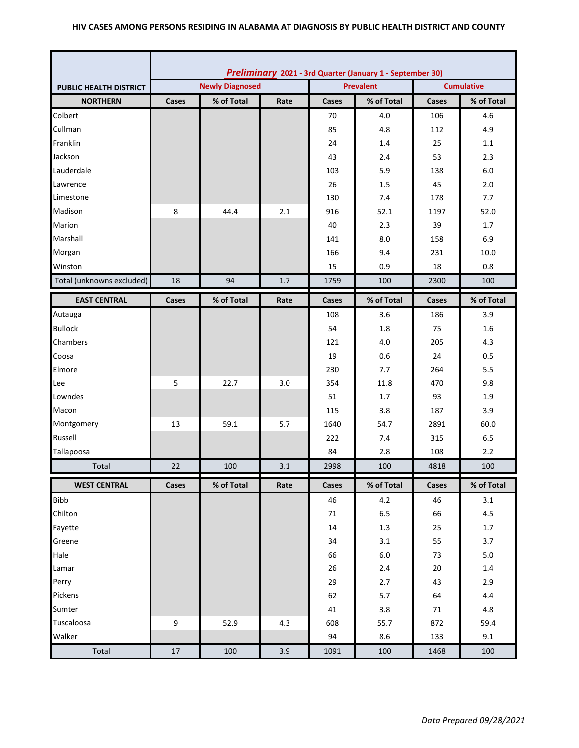### **HIV CASES AMONG PERSONS RESIDING IN ALABAMA AT DIAGNOSIS BY PUBLIC HEALTH DISTRICT AND COUNTY**

|                               | Preliminary 2021 - 3rd Quarter (January 1 - September 30) |                        |                  |              |            |                   |            |  |
|-------------------------------|-----------------------------------------------------------|------------------------|------------------|--------------|------------|-------------------|------------|--|
| <b>PUBLIC HEALTH DISTRICT</b> |                                                           | <b>Newly Diagnosed</b> | <b>Prevalent</b> |              |            | <b>Cumulative</b> |            |  |
| <b>NORTHERN</b>               | Cases                                                     | % of Total             | Rate             | Cases        | % of Total | Cases             | % of Total |  |
| Colbert                       |                                                           |                        |                  | 70           | 4.0        | 106               | 4.6        |  |
| Cullman                       |                                                           |                        |                  | 85           | 4.8        | 112               | 4.9        |  |
| Franklin                      |                                                           |                        |                  | 24           | 1.4        | 25                | 1.1        |  |
| Jackson                       |                                                           |                        |                  | 43           | 2.4        | 53                | 2.3        |  |
| Lauderdale                    |                                                           |                        |                  | 103          | 5.9        | 138               | 6.0        |  |
| Lawrence                      |                                                           |                        |                  | 26           | 1.5        | 45                | 2.0        |  |
| Limestone                     |                                                           |                        |                  | 130          | 7.4        | 178               | 7.7        |  |
| Madison                       | 8                                                         | 44.4                   | 2.1              | 916          | 52.1       | 1197              | 52.0       |  |
| Marion                        |                                                           |                        |                  | 40           | 2.3        | 39                | 1.7        |  |
| Marshall                      |                                                           |                        |                  | 141          | 8.0        | 158               | 6.9        |  |
| Morgan                        |                                                           |                        |                  | 166          | 9.4        | 231               | 10.0       |  |
| Winston                       |                                                           |                        |                  | 15           | 0.9        | 18                | 0.8        |  |
| Total (unknowns excluded)     | 18                                                        | 94                     | 1.7              | 1759         | 100        | 2300              | 100        |  |
| <b>EAST CENTRAL</b>           | Cases                                                     | % of Total             | Rate             | Cases        | % of Total | Cases             | % of Total |  |
| Autauga                       |                                                           |                        |                  | 108          | 3.6        | 186               | 3.9        |  |
| <b>Bullock</b>                |                                                           |                        |                  | 54           | 1.8        | 75                | 1.6        |  |
| Chambers                      |                                                           |                        |                  | 121          | 4.0        | 205               | 4.3        |  |
| Coosa                         |                                                           |                        |                  | 19           | 0.6        | 24                | 0.5        |  |
| Elmore                        |                                                           |                        |                  | 230          | 7.7        | 264               | 5.5        |  |
| Lee                           | 5                                                         | 22.7                   | 3.0              | 354          | 11.8       | 470               | 9.8        |  |
| Lowndes                       |                                                           |                        |                  | 51           | 1.7        | 93                | 1.9        |  |
| Macon                         |                                                           |                        |                  | 115          | 3.8        | 187               | 3.9        |  |
| Montgomery                    | 13                                                        | 59.1                   | 5.7              | 1640         | 54.7       | 2891              | 60.0       |  |
| Russell                       |                                                           |                        |                  | 222          | 7.4        | 315               | 6.5        |  |
| Tallapoosa                    |                                                           |                        |                  | 84           | 2.8        | 108               | 2.2        |  |
| Total                         | 22                                                        | 100                    | 3.1              | 2998         | 100        | 4818              | 100        |  |
| <b>WEST CENTRAL</b>           | Cases                                                     | % of Total             | Rate             | <b>Cases</b> | % of Total | Cases             | % of Total |  |
| <b>Bibb</b>                   |                                                           |                        |                  | 46           | 4.2        | 46                | 3.1        |  |
| Chilton                       |                                                           |                        |                  | 71           | $6.5\,$    | 66                | 4.5        |  |
| Fayette                       |                                                           |                        |                  | 14           | $1.3\,$    | 25                | 1.7        |  |
| Greene                        |                                                           |                        |                  | 34           | 3.1        | 55                | 3.7        |  |
| Hale                          |                                                           |                        |                  | 66           | $6.0\,$    | 73                | $5.0\,$    |  |
| Lamar                         |                                                           |                        |                  | 26           | $2.4$      | 20                | $1.4\,$    |  |
| Perry                         |                                                           |                        |                  | 29           | 2.7        | 43                | 2.9        |  |
| Pickens                       |                                                           |                        |                  | 62           | 5.7        | 64                | 4.4        |  |
| Sumter                        |                                                           |                        |                  | 41           | 3.8        | 71                | $4.8\,$    |  |
| Tuscaloosa                    | 9                                                         | 52.9                   | 4.3              | 608          | 55.7       | 872               | 59.4       |  |
| Walker                        |                                                           |                        |                  | 94           | 8.6        | 133               | 9.1        |  |
| Total                         | 17                                                        | 100                    | 3.9              | 1091         | 100        | 1468              | 100        |  |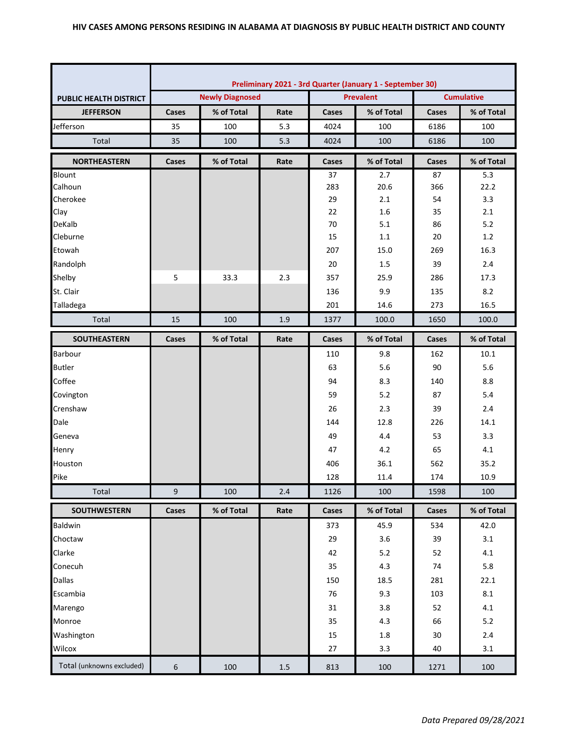|                               | Preliminary 2021 - 3rd Quarter (January 1 - September 30) |                        |         |       |                  |                   |            |  |
|-------------------------------|-----------------------------------------------------------|------------------------|---------|-------|------------------|-------------------|------------|--|
| <b>PUBLIC HEALTH DISTRICT</b> |                                                           | <b>Newly Diagnosed</b> |         |       | <b>Prevalent</b> | <b>Cumulative</b> |            |  |
| <b>JEFFERSON</b>              | Cases                                                     | % of Total             | Rate    | Cases | % of Total       | Cases             | % of Total |  |
| Jefferson                     | 35                                                        | 100                    | 5.3     | 4024  | 100              | 6186              | 100        |  |
| Total                         | 35                                                        | 100                    | 5.3     | 4024  | 100              | 6186              | 100        |  |
| <b>NORTHEASTERN</b>           | Cases                                                     | % of Total             | Rate    | Cases | % of Total       | <b>Cases</b>      | % of Total |  |
| Blount                        |                                                           |                        |         | 37    | 2.7              | 87                | 5.3        |  |
| Calhoun                       |                                                           |                        |         | 283   | 20.6             | 366               | 22.2       |  |
| Cherokee                      |                                                           |                        |         | 29    | 2.1              | 54                | 3.3        |  |
| Clay                          |                                                           |                        |         | 22    | 1.6              | 35                | 2.1        |  |
| DeKalb                        |                                                           |                        |         | 70    | 5.1              | 86                | $5.2$      |  |
| Cleburne                      |                                                           |                        |         | 15    | 1.1              | 20                | 1.2        |  |
| Etowah                        |                                                           |                        |         | 207   | 15.0             | 269               | 16.3       |  |
| Randolph                      |                                                           |                        |         | 20    | 1.5              | 39                | 2.4        |  |
| Shelby                        | 5                                                         | 33.3                   | 2.3     | 357   | 25.9             | 286               | 17.3       |  |
| St. Clair                     |                                                           |                        |         | 136   | 9.9              | 135               | 8.2        |  |
| Talladega                     |                                                           |                        |         | 201   | 14.6             | 273               | 16.5       |  |
| Total                         | 15                                                        | 100                    | 1.9     | 1377  | 100.0            | 1650              | 100.0      |  |
| SOUTHEASTERN                  | Cases                                                     | % of Total             | Rate    | Cases | % of Total       | <b>Cases</b>      | % of Total |  |
| Barbour                       |                                                           |                        |         | 110   | 9.8              | 162               | 10.1       |  |
| <b>Butler</b>                 |                                                           |                        |         | 63    | 5.6              | 90                | 5.6        |  |
| Coffee                        |                                                           |                        |         | 94    | 8.3              | 140               | 8.8        |  |
| Covington                     |                                                           |                        |         | 59    | 5.2              | 87                | 5.4        |  |
| Crenshaw                      |                                                           |                        |         | 26    | 2.3              | 39                | 2.4        |  |
| Dale                          |                                                           |                        |         | 144   | 12.8             | 226               | 14.1       |  |
| Geneva                        |                                                           |                        |         | 49    | 4.4              | 53                | 3.3        |  |
| Henry                         |                                                           |                        |         | 47    | 4.2              | 65                | 4.1        |  |
| Houston                       |                                                           |                        |         | 406   | 36.1             | 562               | 35.2       |  |
| Pike                          |                                                           |                        |         | 128   | 11.4             | 174               | 10.9       |  |
| Total                         | 9                                                         | 100                    | 2.4     | 1126  | 100              | 1598              | 100        |  |
| <b>SOUTHWESTERN</b>           | Cases                                                     | % of Total             | Rate    | Cases | % of Total       | Cases             | % of Total |  |
| Baldwin                       |                                                           |                        |         | 373   | 45.9             | 534               | 42.0       |  |
| Choctaw                       |                                                           |                        |         | 29    | 3.6              | 39                | 3.1        |  |
| Clarke                        |                                                           |                        |         | 42    | 5.2              | 52                | 4.1        |  |
| Conecuh                       |                                                           |                        |         | 35    | 4.3              | 74                | 5.8        |  |
| <b>Dallas</b>                 |                                                           |                        |         | 150   | 18.5             | 281               | 22.1       |  |
| Escambia                      |                                                           |                        |         | 76    | 9.3              | 103               | 8.1        |  |
| Marengo                       |                                                           |                        |         | 31    | 3.8              | 52                | 4.1        |  |
| Monroe                        |                                                           |                        |         | 35    | 4.3              | 66                | 5.2        |  |
| Washington                    |                                                           |                        |         | 15    | 1.8              | 30                | 2.4        |  |
| Wilcox                        |                                                           |                        |         | 27    | 3.3              | 40                | 3.1        |  |
| Total (unknowns excluded)     | 6                                                         | 100                    | $1.5\,$ | 813   | 100              | 1271              | 100        |  |